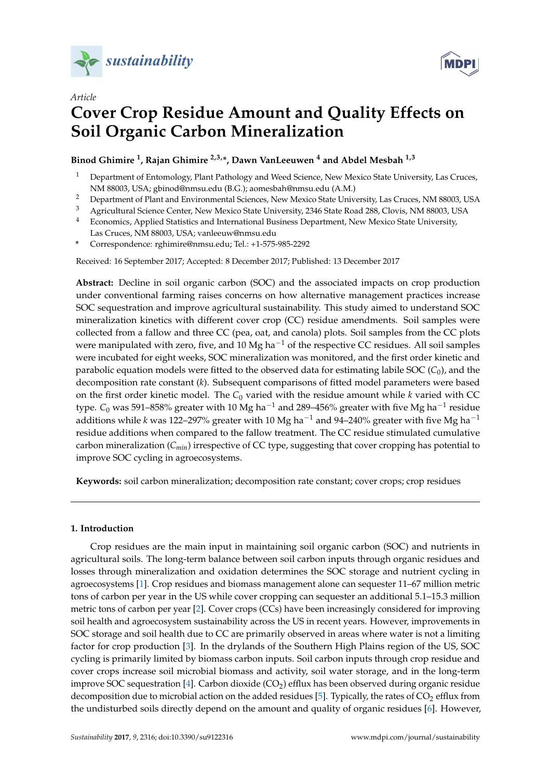

*Article*



# **Cover Crop Residue Amount and Quality Effects on Soil Organic Carbon Mineralization**

**Binod Ghimire <sup>1</sup> , Rajan Ghimire 2,3,\*, Dawn VanLeeuwen <sup>4</sup> and Abdel Mesbah 1,3**

- <sup>1</sup> Department of Entomology, Plant Pathology and Weed Science, New Mexico State University, Las Cruces, NM 88003, USA; gbinod@nmsu.edu (B.G.); aomesbah@nmsu.edu (A.M.)
- <sup>2</sup> Department of Plant and Environmental Sciences, New Mexico State University, Las Cruces, NM 88003, USA<br><sup>3</sup> Agricultural Science Center, New Mexico State University, 2246 State Boad 288, Clevie, NM 88002, USA
- <sup>3</sup> Agricultural Science Center, New Mexico State University, 2346 State Road 288, Clovis, NM 88003, USA
- <sup>4</sup> Economics, Applied Statistics and International Business Department, New Mexico State University, Las Cruces, NM 88003, USA; vanleeuw@nmsu.edu
- **\*** Correspondence: rghimire@nmsu.edu; Tel.: +1-575-985-2292

Received: 16 September 2017; Accepted: 8 December 2017; Published: 13 December 2017

**Abstract:** Decline in soil organic carbon (SOC) and the associated impacts on crop production under conventional farming raises concerns on how alternative management practices increase SOC sequestration and improve agricultural sustainability. This study aimed to understand SOC mineralization kinetics with different cover crop (CC) residue amendments. Soil samples were collected from a fallow and three CC (pea, oat, and canola) plots. Soil samples from the CC plots were manipulated with zero, five, and 10 Mg ha<sup> $-1$ </sup> of the respective CC residues. All soil samples were incubated for eight weeks, SOC mineralization was monitored, and the first order kinetic and parabolic equation models were fitted to the observed data for estimating labile SOC (*C*0), and the decomposition rate constant (*k*). Subsequent comparisons of fitted model parameters were based on the first order kinetic model. The *C*<sup>0</sup> varied with the residue amount while *k* varied with CC type.  $\mathcal{C}_0$  was 591–858% greater with 10 Mg ha $^{-1}$  and 289–456% greater with five Mg ha $^{-1}$  residue additions while *k* was 122–297% greater with 10 Mg ha−<sup>1</sup> and 94–240% greater with five Mg ha−<sup>1</sup> residue additions when compared to the fallow treatment. The CC residue stimulated cumulative carbon mineralization (*Cmin*) irrespective of CC type, suggesting that cover cropping has potential to improve SOC cycling in agroecosystems.

**Keywords:** soil carbon mineralization; decomposition rate constant; cover crops; crop residues

# **1. Introduction**

Crop residues are the main input in maintaining soil organic carbon (SOC) and nutrients in agricultural soils. The long-term balance between soil carbon inputs through organic residues and losses through mineralization and oxidation determines the SOC storage and nutrient cycling in agroecosystems [\[1\]](#page-11-0). Crop residues and biomass management alone can sequester 11–67 million metric tons of carbon per year in the US while cover cropping can sequester an additional 5.1–15.3 million metric tons of carbon per year [\[2\]](#page-11-1). Cover crops (CCs) have been increasingly considered for improving soil health and agroecosystem sustainability across the US in recent years. However, improvements in SOC storage and soil health due to CC are primarily observed in areas where water is not a limiting factor for crop production [\[3\]](#page-11-2). In the drylands of the Southern High Plains region of the US, SOC cycling is primarily limited by biomass carbon inputs. Soil carbon inputs through crop residue and cover crops increase soil microbial biomass and activity, soil water storage, and in the long-term improve SOC sequestration [\[4\]](#page-11-3). Carbon dioxide  $(CO<sub>2</sub>)$  efflux has been observed during organic residue decomposition due to microbial action on the added residues [\[5\]](#page-11-4). Typically, the rates of  $CO<sub>2</sub>$  efflux from the undisturbed soils directly depend on the amount and quality of organic residues [\[6\]](#page-11-5). However,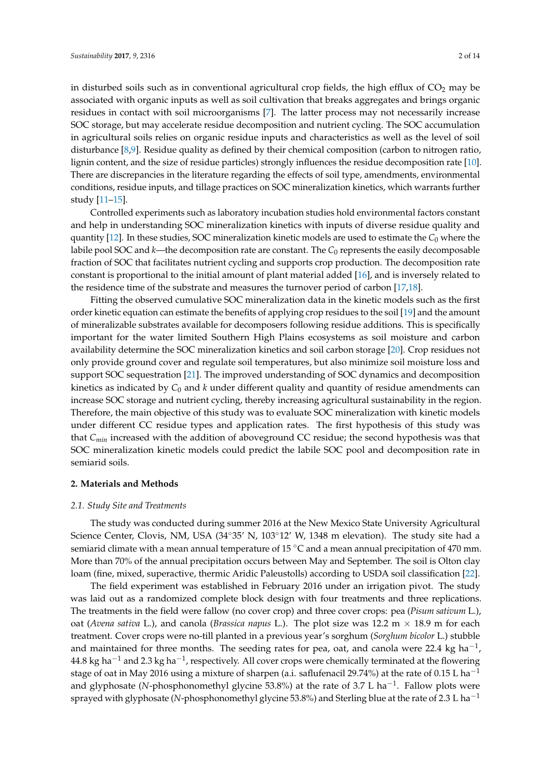lignin content, and the size of residue particles) strongly influences the residue decomposition rate [\[10\]](#page-11-9). There are discrepancies in the literature regarding the effects of soil type, amendments, environmental conditions, residue inputs, and tillage practices on SOC mineralization kinetics, which warrants further study [\[11](#page-11-10)[–15\]](#page-11-11).

Controlled experiments such as laboratory incubation studies hold environmental factors constant and help in understanding SOC mineralization kinetics with inputs of diverse residue quality and quantity [\[12\]](#page-11-12). In these studies, SOC mineralization kinetic models are used to estimate the *C*<sup>0</sup> where the labile pool SOC and *k*—the decomposition rate are constant. The *C*<sup>0</sup> represents the easily decomposable fraction of SOC that facilitates nutrient cycling and supports crop production. The decomposition rate constant is proportional to the initial amount of plant material added [\[16\]](#page-11-13), and is inversely related to the residence time of the substrate and measures the turnover period of carbon [\[17](#page-11-14)[,18\]](#page-11-15).

Fitting the observed cumulative SOC mineralization data in the kinetic models such as the first order kinetic equation can estimate the benefits of applying crop residues to the soil [\[19\]](#page-11-16) and the amount of mineralizable substrates available for decomposers following residue additions. This is specifically important for the water limited Southern High Plains ecosystems as soil moisture and carbon availability determine the SOC mineralization kinetics and soil carbon storage [\[20\]](#page-11-17). Crop residues not only provide ground cover and regulate soil temperatures, but also minimize soil moisture loss and support SOC sequestration [\[21\]](#page-12-0). The improved understanding of SOC dynamics and decomposition kinetics as indicated by *C*<sup>0</sup> and *k* under different quality and quantity of residue amendments can increase SOC storage and nutrient cycling, thereby increasing agricultural sustainability in the region. Therefore, the main objective of this study was to evaluate SOC mineralization with kinetic models under different CC residue types and application rates. The first hypothesis of this study was that *Cmin* increased with the addition of aboveground CC residue; the second hypothesis was that SOC mineralization kinetic models could predict the labile SOC pool and decomposition rate in semiarid soils.

## **2. Materials and Methods**

#### *2.1. Study Site and Treatments*

The study was conducted during summer 2016 at the New Mexico State University Agricultural Science Center, Clovis, NM, USA (34°35' N, 103°12' W, 1348 m elevation). The study site had a semiarid climate with a mean annual temperature of 15  $\degree$ C and a mean annual precipitation of 470 mm. More than 70% of the annual precipitation occurs between May and September. The soil is Olton clay loam (fine, mixed, superactive, thermic Aridic Paleustolls) according to USDA soil classification [\[22\]](#page-12-1).

The field experiment was established in February 2016 under an irrigation pivot. The study was laid out as a randomized complete block design with four treatments and three replications. The treatments in the field were fallow (no cover crop) and three cover crops: pea (*Pisum sativum* L.), oat (*Avena sativa* L.), and canola (*Brassica napus* L.). The plot size was 12.2 m × 18.9 m for each treatment. Cover crops were no-till planted in a previous year's sorghum (*Sorghum bicolor* L.) stubble and maintained for three months. The seeding rates for pea, oat, and canola were 22.4 kg ha<sup>-1</sup>,  $44.8$  kg ha $^{-1}$  and 2.3 kg ha $^{-1}$ , respectively. All cover crops were chemically terminated at the flowering stage of oat in May 2016 using a mixture of sharpen (a.i. saflufenacil 29.74%) at the rate of 0.15 L ha<sup>-1</sup> and glyphosate (N-phosphonomethyl glycine 53.8%) at the rate of 3.7 L ha<sup>-1</sup>. Fallow plots were sprayed with glyphosate (*N*-phosphonomethyl glycine 53.8%) and Sterling blue at the rate of 2.3 L ha<sup>-1</sup>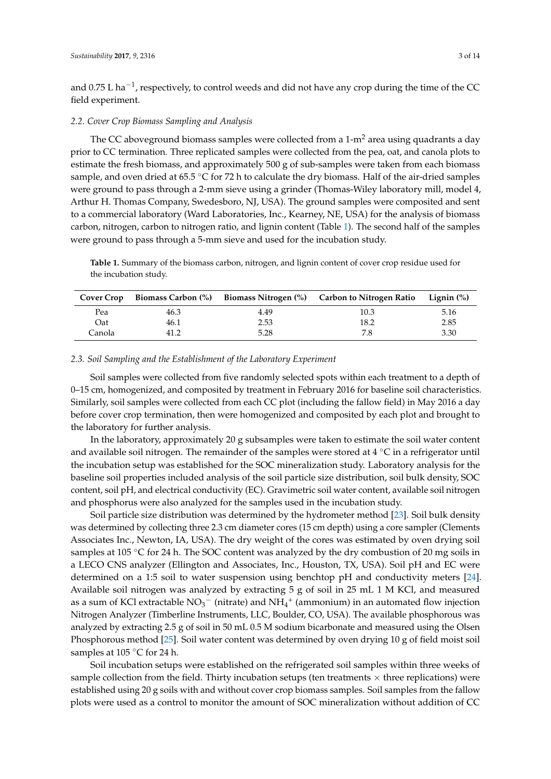and 0.75 L ha<sup>-1</sup>, respectively, to control weeds and did not have any crop during the time of the CC field experiment.

## *2.2. Cover Crop Biomass Sampling and Analysis*

The CC aboveground biomass samples were collected from a  $1-m<sup>2</sup>$  area using quadrants a day prior to CC termination. Three replicated samples were collected from the pea, oat, and canola plots to estimate the fresh biomass, and approximately 500 g of sub-samples were taken from each biomass sample, and oven dried at 65.5 ℃ for 72 h to calculate the dry biomass. Half of the air-dried samples were ground to pass through a 2-mm sieve using a grinder (Thomas-Wiley laboratory mill, model 4, Arthur H. Thomas Company, Swedesboro, NJ, USA). The ground samples were composited and sent to a commercial laboratory (Ward Laboratories, Inc., Kearney, NE, USA) for the analysis of biomass carbon, nitrogen, carbon to nitrogen ratio, and lignin content (Table [1\)](#page-2-0). The second half of the samples were ground to pass through a 5-mm sieve and used for the incubation study.

<span id="page-2-0"></span>**Table 1.** Summary of the biomass carbon, nitrogen, and lignin content of cover crop residue used for the incubation study.

| <b>Cover Crop</b> |      |      | Biomass Carbon $\binom{0}{0}$ Biomass Nitrogen $\binom{0}{0}$ Carbon to Nitrogen Ratio Lignin $\binom{0}{0}$ |      |
|-------------------|------|------|--------------------------------------------------------------------------------------------------------------|------|
| Pea               | 46.3 | 4.49 | 10.3                                                                                                         | 5.16 |
| Oat               | 46.1 | 2.53 | 18.2                                                                                                         | 2.85 |
| Canola            | 41.2 | 5.28 | 7.8                                                                                                          | 3.30 |

# *2.3. Soil Sampling and the Establishment of the Laboratory Experiment*

Soil samples were collected from five randomly selected spots within each treatment to a depth of 0–15 cm, homogenized, and composited by treatment in February 2016 for baseline soil characteristics. Similarly, soil samples were collected from each CC plot (including the fallow field) in May 2016 a day before cover crop termination, then were homogenized and composited by each plot and brought to the laboratory for further analysis.

In the laboratory, approximately 20 g subsamples were taken to estimate the soil water content and available soil nitrogen. The remainder of the samples were stored at  $4 °C$  in a refrigerator until the incubation setup was established for the SOC mineralization study. Laboratory analysis for the baseline soil properties included analysis of the soil particle size distribution, soil bulk density, SOC content, soil pH, and electrical conductivity (EC). Gravimetric soil water content, available soil nitrogen and phosphorus were also analyzed for the samples used in the incubation study.

Soil particle size distribution was determined by the hydrometer method [\[23\]](#page-12-2). Soil bulk density was determined by collecting three 2.3 cm diameter cores (15 cm depth) using a core sampler (Clements Associates Inc., Newton, IA, USA). The dry weight of the cores was estimated by oven drying soil samples at 105 °C for 24 h. The SOC content was analyzed by the dry combustion of 20 mg soils in a LECO CNS analyzer (Ellington and Associates, Inc., Houston, TX, USA). Soil pH and EC were determined on a 1:5 soil to water suspension using benchtop pH and conductivity meters [\[24\]](#page-12-3). Available soil nitrogen was analyzed by extracting 5 g of soil in 25 mL 1 M KCl, and measured as a sum of KCl extractable  $NO_3^-$  (nitrate) and  $NH_4^+$  (ammonium) in an automated flow injection Nitrogen Analyzer (Timberline Instruments, LLC, Boulder, CO, USA). The available phosphorous was analyzed by extracting 2.5 g of soil in 50 mL 0.5 M sodium bicarbonate and measured using the Olsen Phosphorous method [\[25\]](#page-12-4). Soil water content was determined by oven drying 10 g of field moist soil samples at 105 °C for 24 h.

Soil incubation setups were established on the refrigerated soil samples within three weeks of sample collection from the field. Thirty incubation setups (ten treatments  $\times$  three replications) were established using 20 g soils with and without cover crop biomass samples. Soil samples from the fallow plots were used as a control to monitor the amount of SOC mineralization without addition of CC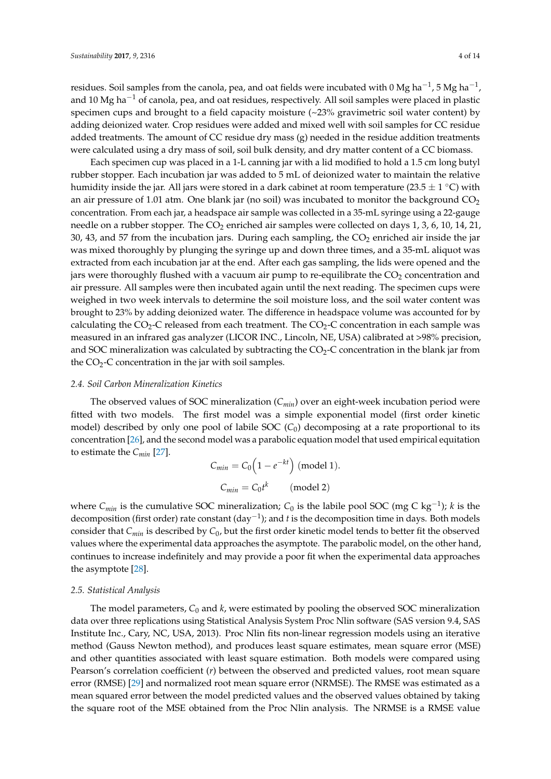residues. Soil samples from the canola, pea, and oat fields were incubated with 0 Mg ha $^{-1}$ , 5 Mg ha $^{-1}$ , and 10 Mg ha<sup> $-1$ </sup> of canola, pea, and oat residues, respectively. All soil samples were placed in plastic specimen cups and brought to a field capacity moisture  $\langle \sim 23\%$  gravimetric soil water content) by adding deionized water. Crop residues were added and mixed well with soil samples for CC residue added treatments. The amount of CC residue dry mass (g) needed in the residue addition treatments were calculated using a dry mass of soil, soil bulk density, and dry matter content of a CC biomass.

Each specimen cup was placed in a 1-L canning jar with a lid modified to hold a 1.5 cm long butyl rubber stopper. Each incubation jar was added to 5 mL of deionized water to maintain the relative humidity inside the jar. All jars were stored in a dark cabinet at room temperature (23.5  $\pm$  1 °C) with an air pressure of 1.01 atm. One blank jar (no soil) was incubated to monitor the background  $CO<sub>2</sub>$ concentration. From each jar, a headspace air sample was collected in a 35-mL syringe using a 22-gauge needle on a rubber stopper. The  $CO<sub>2</sub>$  enriched air samples were collected on days 1, 3, 6, 10, 14, 21, 30, 43, and 57 from the incubation jars. During each sampling, the  $CO<sub>2</sub>$  enriched air inside the jar was mixed thoroughly by plunging the syringe up and down three times, and a 35-mL aliquot was extracted from each incubation jar at the end. After each gas sampling, the lids were opened and the jars were thoroughly flushed with a vacuum air pump to re-equilibrate the  $CO<sub>2</sub>$  concentration and air pressure. All samples were then incubated again until the next reading. The specimen cups were weighed in two week intervals to determine the soil moisture loss, and the soil water content was brought to 23% by adding deionized water. The difference in headspace volume was accounted for by calculating the  $CO_2$ -C released from each treatment. The  $CO_2$ -C concentration in each sample was measured in an infrared gas analyzer (LICOR INC., Lincoln, NE, USA) calibrated at >98% precision, and SOC mineralization was calculated by subtracting the  $CO<sub>2</sub>$ -C concentration in the blank jar from the  $CO<sub>2</sub>-C$  concentration in the jar with soil samples.

#### *2.4. Soil Carbon Mineralization Kinetics*

The observed values of SOC mineralization (*Cmin*) over an eight-week incubation period were fitted with two models. The first model was a simple exponential model (first order kinetic model) described by only one pool of labile SOC  $(C_0)$  decomposing at a rate proportional to its concentration [\[26\]](#page-12-5), and the second model was a parabolic equation model that used empirical equitation to estimate the *Cmin* [\[27\]](#page-12-6).

$$
C_{min} = C_0 \left( 1 - e^{-kt} \right) \text{ (model 1)}.
$$

$$
C_{min} = C_0 t^k \qquad \text{(model 2)}
$$

where *Cmin* is the cumulative SOC mineralization; *C*<sup>0</sup> is the labile pool SOC (mg C kg−<sup>1</sup> ); *k* is the decomposition (first order) rate constant (day−<sup>1</sup> ); and *t* is the decomposition time in days. Both models consider that *Cmin* is described by *C*0, but the first order kinetic model tends to better fit the observed values where the experimental data approaches the asymptote. The parabolic model, on the other hand, continues to increase indefinitely and may provide a poor fit when the experimental data approaches the asymptote [\[28\]](#page-12-7).

## *2.5. Statistical Analysis*

The model parameters,  $C_0$  and *k*, were estimated by pooling the observed SOC mineralization data over three replications using Statistical Analysis System Proc Nlin software (SAS version 9.4, SAS Institute Inc., Cary, NC, USA, 2013). Proc Nlin fits non-linear regression models using an iterative method (Gauss Newton method), and produces least square estimates, mean square error (MSE) and other quantities associated with least square estimation. Both models were compared using Pearson's correlation coefficient (*r*) between the observed and predicted values, root mean square error (RMSE) [\[29\]](#page-12-8) and normalized root mean square error (NRMSE). The RMSE was estimated as a mean squared error between the model predicted values and the observed values obtained by taking the square root of the MSE obtained from the Proc Nlin analysis. The NRMSE is a RMSE value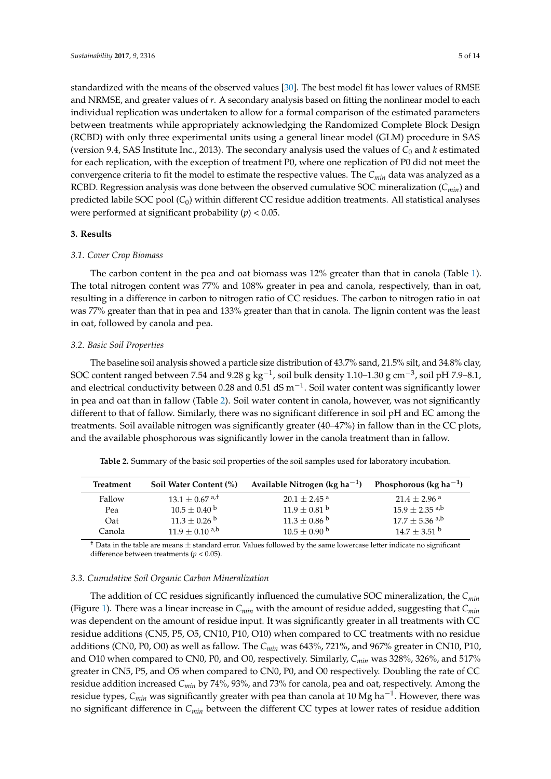standardized with the means of the observed values [\[30\]](#page-12-9). The best model fit has lower values of RMSE and NRMSE, and greater values of *r*. A secondary analysis based on fitting the nonlinear model to each individual replication was undertaken to allow for a formal comparison of the estimated parameters between treatments while appropriately acknowledging the Randomized Complete Block Design (RCBD) with only three experimental units using a general linear model (GLM) procedure in SAS (version 9.4, SAS Institute Inc., 2013). The secondary analysis used the values of *C*<sup>0</sup> and *k* estimated for each replication, with the exception of treatment P0, where one replication of P0 did not meet the convergence criteria to fit the model to estimate the respective values. The *Cmin* data was analyzed as a RCBD. Regression analysis was done between the observed cumulative SOC mineralization (*Cmin*) and predicted labile SOC pool (*C*0) within different CC residue addition treatments. All statistical analyses were performed at significant probability (*p*) < 0.05.

# **3. Results**

# *3.1. Cover Crop Biomass*

The carbon content in the pea and oat biomass was 12% greater than that in canola (Table [1\)](#page-2-0). The total nitrogen content was 77% and 108% greater in pea and canola, respectively, than in oat, resulting in a difference in carbon to nitrogen ratio of CC residues. The carbon to nitrogen ratio in oat was 77% greater than that in pea and 133% greater than that in canola. The lignin content was the least in oat, followed by canola and pea.

# *3.2. Basic Soil Properties*

The baseline soil analysis showed a particle size distribution of 43.7% sand, 21.5% silt, and 34.8% clay, SOC content ranged between 7.54 and 9.28 g kg<sup>-1</sup>, soil bulk density 1.10–1.30 g cm<sup>-3</sup>, soil pH 7.9–8.1, and electrical conductivity between 0.28 and 0.51 dS  $\mathrm{m}^{-1}$ . Soil water content was significantly lower in pea and oat than in fallow (Table [2\)](#page-4-0). Soil water content in canola, however, was not significantly different to that of fallow. Similarly, there was no significant difference in soil pH and EC among the treatments. Soil available nitrogen was significantly greater (40–47%) in fallow than in the CC plots, and the available phosphorous was significantly lower in the canola treatment than in fallow.

| Treatment | Soil Water Content (%)       | Available Nitrogen ( $kg \, ha^{-1}$ ) | Phosphorous (kg ha <sup>-1</sup> ) |
|-----------|------------------------------|----------------------------------------|------------------------------------|
| Fallow    | $13.1 + 0.67$ <sup>a,t</sup> | $20.1 + 2.45$ <sup>a</sup>             | $21.4 + 2.96$ <sup>a</sup>         |
| Pea       | $10.5\pm0.40$ b              | $11.9 \pm 0.81$ <sup>b</sup>           | $15.9\pm2.35$ a,b                  |
| Oat       | $11.3 \pm 0.26$ b            | $11.3\pm0.86$ b                        | $17.7 \pm 5.36$ a,b                |
| Canola    | $11.9 \pm 0.10^{a,b}$        | $10.5 \pm 0.90^{\mathrm{b}}$           | $14.7 \pm 3.51$ b                  |

<span id="page-4-0"></span>**Table 2.** Summary of the basic soil properties of the soil samples used for laboratory incubation.

 $<sup>†</sup>$  Data in the table are means  $\pm$  standard error. Values followed by the same lowercase letter indicate no significant</sup> difference between treatments (*p* < 0.05).

# *3.3. Cumulative Soil Organic Carbon Mineralization*

The addition of CC residues significantly influenced the cumulative SOC mineralization, the *Cmin* (Figure [1\)](#page-5-0). There was a linear increase in *Cmin* with the amount of residue added, suggesting that *Cmin* was dependent on the amount of residue input. It was significantly greater in all treatments with CC residue additions (CN5, P5, O5, CN10, P10, O10) when compared to CC treatments with no residue additions (CN0, P0, O0) as well as fallow. The *Cmin* was 643%, 721%, and 967% greater in CN10, P10, and O10 when compared to CN0, P0, and O0, respectively. Similarly, *Cmin* was 328%, 326%, and 517% greater in CN5, P5, and O5 when compared to CN0, P0, and O0 respectively. Doubling the rate of CC residue addition increased *Cmin* by 74%, 93%, and 73% for canola, pea and oat, respectively. Among the residue types, *Cmin* was significantly greater with pea than canola at 10 Mg ha−<sup>1</sup> . However, there was no significant difference in *Cmin* between the different CC types at lower rates of residue addition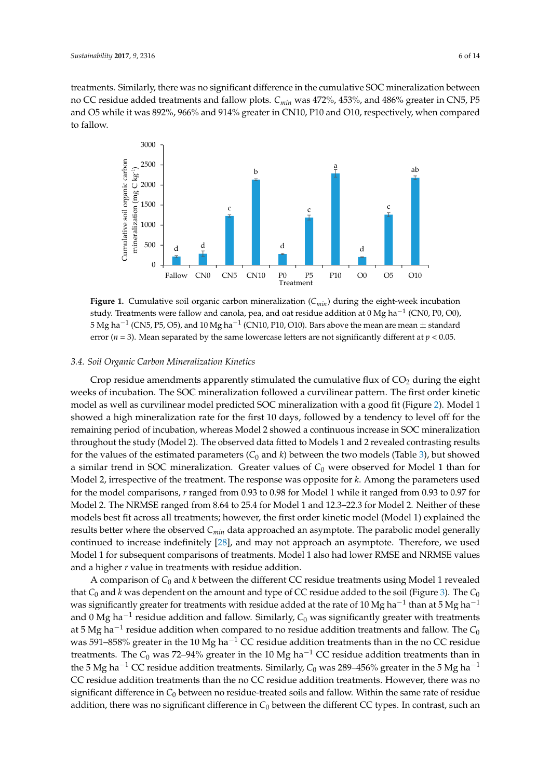treatments. Similarly, there was no significant difference in the cumulative SOC mineralization between no CC residue added treatments and fallow plots. *Cmin* was 472%, 453%, and 486% greater in CN5, P5 *Sustainability* **2017**, *9*, 2316 6 of 14 and O5 while it was 892%, 966% and 914% greater in CN10, P10 and O10, respectively, when compared to fallow.

<span id="page-5-0"></span>

Figure 1. Cumulative soil organic carbon mineralization  $(C_{min})$  during the eight-week incubation study. Treatments were fallow and canonical peak, pea, and oat residue addition at  $(2N)$ study. Treatments were fallow and canola, pea, and oat residue addition at 0 Mg ha<sup>-1</sup> (CN0, P0, O0),  $5\, {\rm Mg}$  ha $^{-1}$  (CN5, P5, O5), and 10 Mg ha $^{-1}$  (CN10, P10, O10). Bars above the mean are mean  $\pm$  standard error ( $n = 3$ ). Mean separated by the same lowercase letters are not significantly different at  $p < 0.05$ .

# 3.4. Soil Organic Carbon Mineralization Kinetics

Crop residue amendments apparently stimulated the cumulative flux of CO<sub>2</sub> during the eight weeks of incubation. The SOC mineralization followed a curvilinear pattern. The first order kinetic  $r$  regular periodic periodic periodic continuous increase in  $\mathcal{L}_{\text{C}}$  showed a control  $\mathcal{L}_{\text{C}}$  showed in SOC minoralization, with a cood fit (Figure 2) model as well as curvilinear model predicted SOC mineralization with a good fit (Figure [2\)](#page-6-0). Model 1 and 2 revealed to Model 1 and 2 revealed to Model 1 and 2 revealed to Model 1 and 2 revealed to Model 1 and 2 revealed to showed a high mineralization rate for the first 10 days, followed by a tendency to level off for the remaining period of incubation, whereas Model 2 showed a continuous increase in SOC mineralization throughout the study (Model 2). The observed data fitted to Models 1 and 2 revealed contrasting results  $p_{\text{max}}$  of the estimated personsters  $(C, \text{and } k)$  between the two models  $(\text{Table 2})$  by for the values of the estimated parameters  $(C_0$  and *k*) between the two models (Table [3\)](#page-7-0), but showed a similar trend in SOC mineralization. Greater values of  $C_0$  were observed for Model 1 than for Model 2, irrespective of the treatment. The response was opposite for *k*. Among the parameters used for the model comparisons, *r* ranged from 0.93 to 0.98 for Model 1 while it ranged from 0.93 to 0.97 for  $\frac{1}{2}$  The NIDMCE we used from 8.64 to  $25.4$  for Model 1 and 12.2.22.2 for Model 2. Nothing Model 2. The NRMSE ranged from 8.64 to 25.4 for Model 1 and 12.3–22.3 for Model 2. Neither of these models best fit across all treatments; however, the first order kinetic model (Model 1) explained the results better where the observed *Cmin* data approached an asymptote. The parabolic model generally continued to increase indefinitely [\[28\]](#page-12-7), and may not approach an asymptote. Therefore, we used Model 1 for subsequent comparisons of treatments. Model 1 also had lower RMSE and NRMSE values and a higher *r* value in treatments with residue addition.

A comparison of  $C_0$  and  $k$  between the different CC residue treatments using Model 1 revealed that  $C_0$  and *k* was dependent on the amount and type of CC residue added to the soil (Figure [3\)](#page-7-1). The  $C_0$ was significantly greater for treatments with residue added at the rate of 10 Mg ha $^{-1}$  than at 5 Mg ha $^{-1}$ and 0 Mg ha<sup>-1</sup> residue addition and fallow. Similarly,  $\mathcal{C}_0$  was significantly greater with treatments at 5 Mg ha $^{-1}$  residue addition when compared to no residue addition treatments and fallow. The  $\mathcal{C}_0$ was 591–858% greater in the 10 Mg ha<sup>-1</sup> CC residue addition treatments than in the no CC residue treatments. The  $C_0$  was 72–94% greater in the 10 Mg ha<sup>-1</sup> CC residue addition treatments than in the 5 Mg ha<sup>-1</sup> CC residue addition treatments. Similarly,  $C_0$  was 289–456% greater in the 5 Mg ha<sup>-1</sup> CC residue addition treatments than the no CC residue addition treatments. However, there was no significant difference in *C*<sup>0</sup> between no residue-treated soils and fallow. Within the same rate of residue addition, there was no significant difference in *C*<sup>0</sup> between the different CC types. In contrast, such an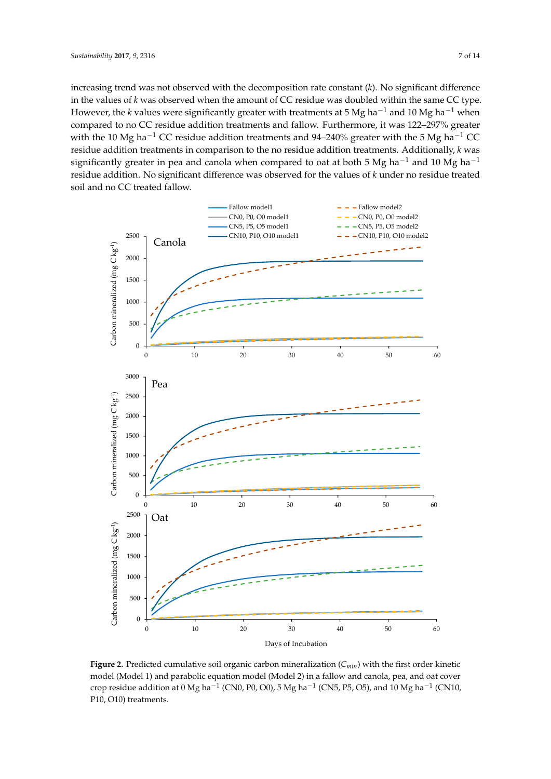increasing trend was not observed with the decomposition rate constant (*k*). No significant difference in the values of *k* was observed when the amount of CC residue was doubled within the same CC type. However, the *k* values were significantly greater with treatments at 5 Mg ha−<sup>1</sup> and 10 Mg ha−<sup>1</sup> when compared to no CC residue addition treatments and fallow. Furthermore, it was 122–297% greater with the 10 Mg ha<sup>-1</sup> CC residue addition treatments and 94–240% greater with the 5 Mg ha<sup>-1</sup> CC residue addition treatments in comparison to the no residue addition treatments. Additionally, *k* was significantly greater in pea and canola when compared to oat at both 5 Mg ha<sup>-1</sup> and 10 Mg ha<sup>-1</sup> residue addition. No significant difference was observed for the values of *k* under no residue treated soil and no CC treated fallow.

<span id="page-6-0"></span>

Figure 2. Predicted cumulative soil organic carbon mineralization  $(C_{min})$  with the first order kinetic model (Model 1) and parabolic equation model (Model 2) in a fallow and canola, pea, and oat cover crop residue addition at 0 Mg ha $^{-1}$  (CN0, P0, O0), 5 Mg ha $^{-1}$  (CN5, P5, O5), and 10 Mg ha $^{-1}$  (CN10,  $P10, O10$ ) treatments.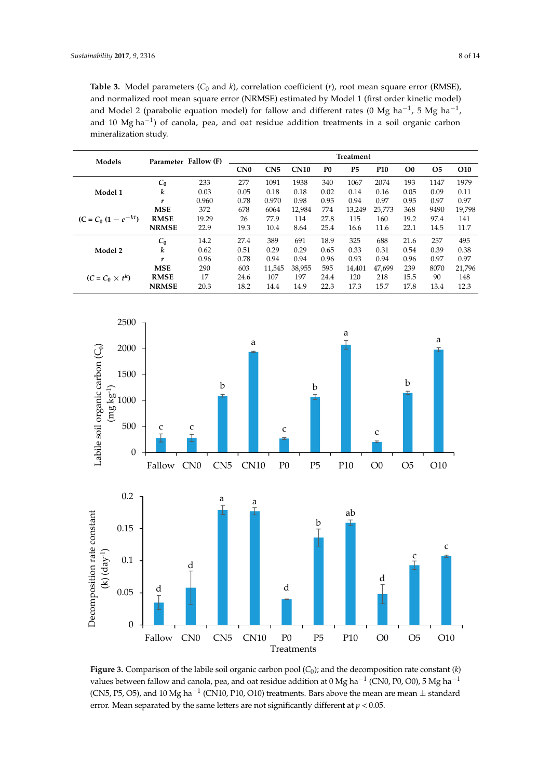<span id="page-7-0"></span>**Table 3.** Model parameters  $(C_0$  and  $k$ ), correlation coefficient  $(r)$ , root mean square error (RMSE), and normalized root mean square error (NRMSE) estimated by Model 1 (first order kinetic model) and Model 2 (parabolic equation model) for fallow and different rates (0 Mg ha<sup>-1</sup>, 5 Mg ha<sup>-1</sup>, and 10 Mg ha<sup>-1</sup>) of canola, pea, and oat residue addition treatments in a soil organic carbon the mineralization study. The *C*<sub>0</sub> was 72–94% greater in the 10 Mg has 72–94% greater in the 10 Mg has 72–94% greatments than in the 10 Mg has 72–94% greatments than in the 10 Mg has 72–94% greatments than in the 10 Mg

| Models                   |              | Parameter Fallow (F) | <b>Treatment</b> |                 |             |                |                |            |                |           |                 |
|--------------------------|--------------|----------------------|------------------|-----------------|-------------|----------------|----------------|------------|----------------|-----------|-----------------|
|                          |              |                      | CN <sub>0</sub>  | CN <sub>5</sub> | <b>CN10</b> | P <sub>0</sub> | P <sub>5</sub> | <b>P10</b> | O <sub>0</sub> | <b>O5</b> | O <sub>10</sub> |
| Model 1                  | $C_0$        | 233                  | 277              | 1091            | 1938        | 340            | 1067           | 2074       | 193            | 1147      | 1979            |
|                          | k            | 0.03                 | 0.05             | 0.18            | 0.18        | 0.02           | 0.14           | 0.16       | 0.05           | 0.09      | 0.11            |
|                          | r            | 0.960                | 0.78             | 0.970           | 0.98        | 0.95           | 0.94           | 0.97       | 0.95           | 0.97      | 0.97            |
|                          | <b>MSE</b>   | 372                  | 678              | 6064            | 12,984      | 774            | 13.249         | 25,773     | 368            | 9490      | 19.798          |
| $(C = C_0 (1 - e^{-kt})$ | <b>RMSE</b>  | 19.29                | 26               | 77.9            | 114         | 27.8           | 115            | 160        | 19.2           | 97.4      | 141             |
|                          | <b>NRMSE</b> | 22.9                 | 19.3             | 10.4            | 8.64        | 25.4           | 16.6           | 11.6       | 22.1           | 14.5      | 11.7            |
|                          | $C_0$        | 14.2                 | 27.4             | 389             | 691         | 18.9           | 325            | 688        | 21.6           | 257       | 495             |
| Model 2                  | k            | 0.62                 | 0.51             | 0.29            | 0.29        | 0.65           | 0.33           | 0.31       | 0.54           | 0.39      | 0.38            |
|                          | r            | 0.96                 | 0.78             | 0.94            | 0.94        | 0.96           | 0.93           | 0.94       | 0.96           | 0.97      | 0.97            |
|                          | <b>MSE</b>   | 290                  | 603              | 11,545          | 38.955      | 595            | 14.401         | 47.699     | 239            | 8070      | 21,796          |
| $(C = C_0 \times t^k)$   | <b>RMSE</b>  | 17                   | 24.6             | 107             | 197         | 24.4           | 120            | 218        | 15.5           | 90        | 148             |
|                          | <b>NRMSE</b> | 20.3                 | 18.2             | 14.4            | 14.9        | 22.3           | 17.3           | 15.7       | 17.8           | 13.4      | 12.3            |

<span id="page-7-1"></span>

Figure 3. Comparison of the labile soil organic carbon pool  $(C_0)$ ; and the decomposition rate constant  $(k)$ values between fallow and canola, pea, and oat residue addition at 0 Mg ha<sup>-1</sup> (CN0, P0, O0), 5 Mg ha<sup>-1</sup> (CN5, P5, O5), and 10 Mg ha<sup>-1</sup> (CN10, P10, O10) treatments. Bars above the mean are mean  $\pm$  standard error. Mean separated by the same letters are not significantly different at  $p < 0.05$ .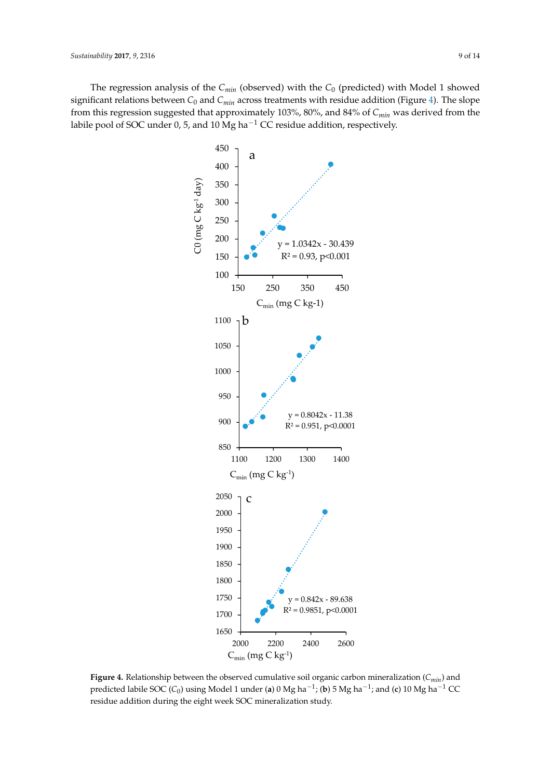<span id="page-8-0"></span>The regression analysis of the *C<sub>min</sub>* (observed) with the *C*<sub>0</sub> (predicted) with Model 1 showed significant relations between  $C_0$  and  $C_{min}$  across treatments with residue addition (Figure 4[\). T](#page-8-0)he slope from this regression suggested that approximately 103%, 80%, and 84% of  $C_{min}$  was derived from the labile pool of SOC under 0, 5, and 10 Mg ha<sup>-1</sup> CC residue addition, respectively.



Figure 4. Relationship between the observed cumulative soil organic carbon mineralization ( $C_{min}$ ) and predicted labile SOC (C<sub>0</sub>) using Model 1 under (a) 0 Mg ha<sup>-1</sup>; (b) 5 Mg ha<sup>-1</sup>; and (c) 10 Mg ha<sup>-1</sup> CC residue addition during the eight week SOC mineralization study. residue addition during the eight week SOC mineralization study.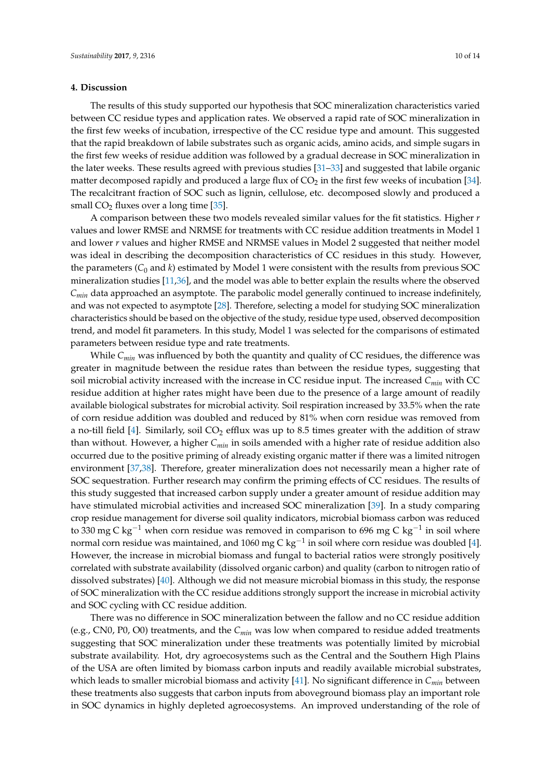## **4. Discussion**

The results of this study supported our hypothesis that SOC mineralization characteristics varied between CC residue types and application rates. We observed a rapid rate of SOC mineralization in the first few weeks of incubation, irrespective of the CC residue type and amount. This suggested that the rapid breakdown of labile substrates such as organic acids, amino acids, and simple sugars in the first few weeks of residue addition was followed by a gradual decrease in SOC mineralization in the later weeks. These results agreed with previous studies [\[31](#page-12-10)[–33\]](#page-12-11) and suggested that labile organic matter decomposed rapidly and produced a large flux of  $CO<sub>2</sub>$  in the first few weeks of incubation [\[34\]](#page-12-12). The recalcitrant fraction of SOC such as lignin, cellulose, etc. decomposed slowly and produced a small  $CO<sub>2</sub>$  fluxes over a long time [\[35\]](#page-12-13).

A comparison between these two models revealed similar values for the fit statistics. Higher *r* values and lower RMSE and NRMSE for treatments with CC residue addition treatments in Model 1 and lower *r* values and higher RMSE and NRMSE values in Model 2 suggested that neither model was ideal in describing the decomposition characteristics of CC residues in this study. However, the parameters  $(C_0$  and  $k)$  estimated by Model 1 were consistent with the results from previous SOC mineralization studies [\[11,](#page-11-10)[36\]](#page-12-14), and the model was able to better explain the results where the observed *Cmin* data approached an asymptote. The parabolic model generally continued to increase indefinitely, and was not expected to asymptote [\[28\]](#page-12-7). Therefore, selecting a model for studying SOC mineralization characteristics should be based on the objective of the study, residue type used, observed decomposition trend, and model fit parameters. In this study, Model 1 was selected for the comparisons of estimated parameters between residue type and rate treatments.

While  $C_{min}$  was influenced by both the quantity and quality of CC residues, the difference was greater in magnitude between the residue rates than between the residue types, suggesting that soil microbial activity increased with the increase in CC residue input. The increased *Cmin* with CC residue addition at higher rates might have been due to the presence of a large amount of readily available biological substrates for microbial activity. Soil respiration increased by 33.5% when the rate of corn residue addition was doubled and reduced by 81% when corn residue was removed from a no-till field  $[4]$ . Similarly, soil  $CO<sub>2</sub>$  efflux was up to 8.5 times greater with the addition of straw than without. However, a higher *Cmin* in soils amended with a higher rate of residue addition also occurred due to the positive priming of already existing organic matter if there was a limited nitrogen environment [\[37](#page-12-15)[,38\]](#page-12-16). Therefore, greater mineralization does not necessarily mean a higher rate of SOC sequestration. Further research may confirm the priming effects of CC residues. The results of this study suggested that increased carbon supply under a greater amount of residue addition may have stimulated microbial activities and increased SOC mineralization [\[39\]](#page-12-17). In a study comparing crop residue management for diverse soil quality indicators, microbial biomass carbon was reduced to 330 mg C kg $^{-1}$  when corn residue was removed in comparison to 696 mg C kg $^{-1}$  in soil where normal corn residue was maintained, and 1060 mg C kg $^{-1}$  in soil where corn residue was doubled [\[4\]](#page-11-3). However, the increase in microbial biomass and fungal to bacterial ratios were strongly positively correlated with substrate availability (dissolved organic carbon) and quality (carbon to nitrogen ratio of dissolved substrates) [\[40\]](#page-12-18). Although we did not measure microbial biomass in this study, the response of SOC mineralization with the CC residue additions strongly support the increase in microbial activity and SOC cycling with CC residue addition.

There was no difference in SOC mineralization between the fallow and no CC residue addition (e.g., CN0, P0, O0) treatments, and the *Cmin* was low when compared to residue added treatments suggesting that SOC mineralization under these treatments was potentially limited by microbial substrate availability. Hot, dry agroecosystems such as the Central and the Southern High Plains of the USA are often limited by biomass carbon inputs and readily available microbial substrates, which leads to smaller microbial biomass and activity [\[41\]](#page-12-19). No significant difference in *Cmin* between these treatments also suggests that carbon inputs from aboveground biomass play an important role in SOC dynamics in highly depleted agroecosystems. An improved understanding of the role of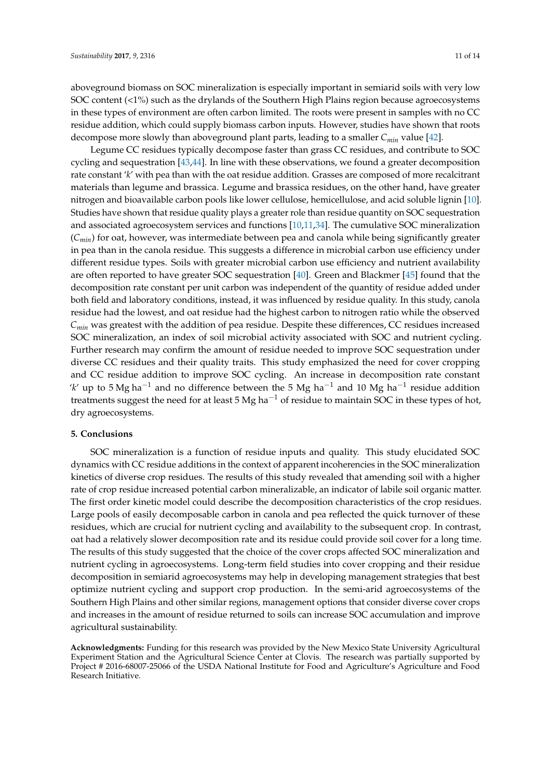aboveground biomass on SOC mineralization is especially important in semiarid soils with very low SOC content (<1%) such as the drylands of the Southern High Plains region because agroecosystems in these types of environment are often carbon limited. The roots were present in samples with no CC residue addition, which could supply biomass carbon inputs. However, studies have shown that roots decompose more slowly than aboveground plant parts, leading to a smaller *Cmin* value [\[42\]](#page-12-20).

Legume CC residues typically decompose faster than grass CC residues, and contribute to SOC cycling and sequestration [\[43](#page-12-21)[,44\]](#page-12-22). In line with these observations, we found a greater decomposition rate constant '*k*' with pea than with the oat residue addition. Grasses are composed of more recalcitrant materials than legume and brassica. Legume and brassica residues, on the other hand, have greater nitrogen and bioavailable carbon pools like lower cellulose, hemicellulose, and acid soluble lignin [\[10\]](#page-11-9). Studies have shown that residue quality plays a greater role than residue quantity on SOC sequestration and associated agroecosystem services and functions [\[10](#page-11-9)[,11](#page-11-10)[,34\]](#page-12-12). The cumulative SOC mineralization (*Cmin*) for oat, however, was intermediate between pea and canola while being significantly greater in pea than in the canola residue. This suggests a difference in microbial carbon use efficiency under different residue types. Soils with greater microbial carbon use efficiency and nutrient availability are often reported to have greater SOC sequestration [\[40\]](#page-12-18). Green and Blackmer [\[45\]](#page-13-0) found that the decomposition rate constant per unit carbon was independent of the quantity of residue added under both field and laboratory conditions, instead, it was influenced by residue quality. In this study, canola residue had the lowest, and oat residue had the highest carbon to nitrogen ratio while the observed *Cmin* was greatest with the addition of pea residue. Despite these differences, CC residues increased SOC mineralization, an index of soil microbial activity associated with SOC and nutrient cycling. Further research may confirm the amount of residue needed to improve SOC sequestration under diverse CC residues and their quality traits. This study emphasized the need for cover cropping and CC residue addition to improve SOC cycling. An increase in decomposition rate constant '*k'* up to 5 Mg ha<sup>-1</sup> and no difference between the 5 Mg ha<sup>-1</sup> and 10 Mg ha<sup>-1</sup> residue addition treatments suggest the need for at least 5 Mg ha<sup> $-1$ </sup> of residue to maintain SOC in these types of hot, dry agroecosystems.

# **5. Conclusions**

SOC mineralization is a function of residue inputs and quality. This study elucidated SOC dynamics with CC residue additions in the context of apparent incoherencies in the SOC mineralization kinetics of diverse crop residues. The results of this study revealed that amending soil with a higher rate of crop residue increased potential carbon mineralizable, an indicator of labile soil organic matter. The first order kinetic model could describe the decomposition characteristics of the crop residues. Large pools of easily decomposable carbon in canola and pea reflected the quick turnover of these residues, which are crucial for nutrient cycling and availability to the subsequent crop. In contrast, oat had a relatively slower decomposition rate and its residue could provide soil cover for a long time. The results of this study suggested that the choice of the cover crops affected SOC mineralization and nutrient cycling in agroecosystems. Long-term field studies into cover cropping and their residue decomposition in semiarid agroecosystems may help in developing management strategies that best optimize nutrient cycling and support crop production. In the semi-arid agroecosystems of the Southern High Plains and other similar regions, management options that consider diverse cover crops and increases in the amount of residue returned to soils can increase SOC accumulation and improve agricultural sustainability.

**Acknowledgments:** Funding for this research was provided by the New Mexico State University Agricultural Experiment Station and the Agricultural Science Center at Clovis. The research was partially supported by Project # 2016-68007-25066 of the USDA National Institute for Food and Agriculture's Agriculture and Food Research Initiative.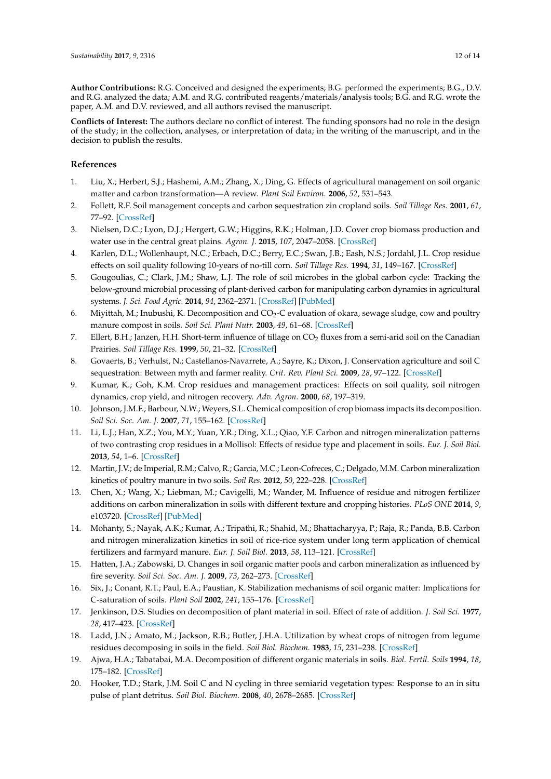**Author Contributions:** R.G. Conceived and designed the experiments; B.G. performed the experiments; B.G., D.V. and R.G. analyzed the data; A.M. and R.G. contributed reagents/materials/analysis tools; B.G. and R.G. wrote the paper, A.M. and D.V. reviewed, and all authors revised the manuscript.

**Conflicts of Interest:** The authors declare no conflict of interest. The funding sponsors had no role in the design of the study; in the collection, analyses, or interpretation of data; in the writing of the manuscript, and in the decision to publish the results.

# **References**

- <span id="page-11-0"></span>1. Liu, X.; Herbert, S.J.; Hashemi, A.M.; Zhang, X.; Ding, G. Effects of agricultural management on soil organic matter and carbon transformation—A review. *Plant Soil Environ.* **2006**, *52*, 531–543.
- <span id="page-11-1"></span>2. Follett, R.F. Soil management concepts and carbon sequestration zin cropland soils. *Soil Tillage Res.* **2001**, *61*, 77–92. [\[CrossRef\]](http://dx.doi.org/10.1016/S0167-1987(01)00180-5)
- <span id="page-11-2"></span>3. Nielsen, D.C.; Lyon, D.J.; Hergert, G.W.; Higgins, R.K.; Holman, J.D. Cover crop biomass production and water use in the central great plains. *Agron. J.* **2015**, *107*, 2047–2058. [\[CrossRef\]](http://dx.doi.org/10.2134/agronj15.0186)
- <span id="page-11-3"></span>4. Karlen, D.L.; Wollenhaupt, N.C.; Erbach, D.C.; Berry, E.C.; Swan, J.B.; Eash, N.S.; Jordahl, J.L. Crop residue effects on soil quality following 10-years of no-till corn. *Soil Tillage Res.* **1994**, *31*, 149–167. [\[CrossRef\]](http://dx.doi.org/10.1016/0167-1987(94)90077-9)
- <span id="page-11-4"></span>5. Gougoulias, C.; Clark, J.M.; Shaw, L.J. The role of soil microbes in the global carbon cycle: Tracking the below-ground microbial processing of plant-derived carbon for manipulating carbon dynamics in agricultural systems. *J. Sci. Food Agric.* **2014**, *94*, 2362–2371. [\[CrossRef\]](http://dx.doi.org/10.1002/jsfa.6577) [\[PubMed\]](http://www.ncbi.nlm.nih.gov/pubmed/24425529)
- <span id="page-11-5"></span>6. Miyittah, M.; Inubushi, K. Decomposition and CO<sup>2</sup> -C evaluation of okara, sewage sludge, cow and poultry manure compost in soils. *Soil Sci. Plant Nutr.* **2003**, *49*, 61–68. [\[CrossRef\]](http://dx.doi.org/10.1080/00380768.2003.10409980)
- <span id="page-11-6"></span>7. Ellert, B.H.; Janzen, H.H. Short-term influence of tillage on CO<sub>2</sub> fluxes from a semi-arid soil on the Canadian Prairies. *Soil Tillage Res.* **1999**, *50*, 21–32. [\[CrossRef\]](http://dx.doi.org/10.1016/S0167-1987(98)00188-3)
- <span id="page-11-7"></span>8. Govaerts, B.; Verhulst, N.; Castellanos-Navarrete, A.; Sayre, K.; Dixon, J. Conservation agriculture and soil C sequestration: Between myth and farmer reality. *Crit. Rev. Plant Sci.* **2009**, *28*, 97–122. [\[CrossRef\]](http://dx.doi.org/10.1080/07352680902776358)
- <span id="page-11-8"></span>9. Kumar, K.; Goh, K.M. Crop residues and management practices: Effects on soil quality, soil nitrogen dynamics, crop yield, and nitrogen recovery. *Adv. Agron.* **2000**, *68*, 197–319.
- <span id="page-11-9"></span>10. Johnson, J.M.F.; Barbour, N.W.; Weyers, S.L. Chemical composition of crop biomass impacts its decomposition. *Soil Sci. Soc. Am. J.* **2007**, *71*, 155–162. [\[CrossRef\]](http://dx.doi.org/10.2136/sssaj2005.0419)
- <span id="page-11-10"></span>11. Li, L.J.; Han, X.Z.; You, M.Y.; Yuan, Y.R.; Ding, X.L.; Qiao, Y.F. Carbon and nitrogen mineralization patterns of two contrasting crop residues in a Mollisol: Effects of residue type and placement in soils. *Eur. J. Soil Biol.* **2013**, *54*, 1–6. [\[CrossRef\]](http://dx.doi.org/10.1016/j.ejsobi.2012.11.002)
- <span id="page-11-12"></span>12. Martin, J.V.; de Imperial, R.M.; Calvo, R.; Garcia, M.C.; Leon-Cofreces, C.; Delgado, M.M. Carbon mineralization kinetics of poultry manure in two soils. *Soil Res.* **2012**, *50*, 222–228. [\[CrossRef\]](http://dx.doi.org/10.1071/SR11170)
- 13. Chen, X.; Wang, X.; Liebman, M.; Cavigelli, M.; Wander, M. Influence of residue and nitrogen fertilizer additions on carbon mineralization in soils with different texture and cropping histories. *PLoS ONE* **2014**, *9*, e103720. [\[CrossRef\]](http://dx.doi.org/10.1371/journal.pone.0103720) [\[PubMed\]](http://www.ncbi.nlm.nih.gov/pubmed/25078458)
- 14. Mohanty, S.; Nayak, A.K.; Kumar, A.; Tripathi, R.; Shahid, M.; Bhattacharyya, P.; Raja, R.; Panda, B.B. Carbon and nitrogen mineralization kinetics in soil of rice-rice system under long term application of chemical fertilizers and farmyard manure. *Eur. J. Soil Biol.* **2013**, *58*, 113–121. [\[CrossRef\]](http://dx.doi.org/10.1016/j.ejsobi.2013.07.004)
- <span id="page-11-11"></span>15. Hatten, J.A.; Zabowski, D. Changes in soil organic matter pools and carbon mineralization as influenced by fire severity. *Soil Sci. Soc. Am. J.* **2009**, *73*, 262–273. [\[CrossRef\]](http://dx.doi.org/10.2136/sssaj2007.0304)
- <span id="page-11-13"></span>16. Six, J.; Conant, R.T.; Paul, E.A.; Paustian, K. Stabilization mechanisms of soil organic matter: Implications for C-saturation of soils. *Plant Soil* **2002**, *241*, 155–176. [\[CrossRef\]](http://dx.doi.org/10.1023/A:1016125726789)
- <span id="page-11-14"></span>17. Jenkinson, D.S. Studies on decomposition of plant material in soil. Effect of rate of addition. *J. Soil Sci.* **1977**, *28*, 417–423. [\[CrossRef\]](http://dx.doi.org/10.1111/j.1365-2389.1977.tb02249.x)
- <span id="page-11-15"></span>18. Ladd, J.N.; Amato, M.; Jackson, R.B.; Butler, J.H.A. Utilization by wheat crops of nitrogen from legume residues decomposing in soils in the field. *Soil Biol. Biochem.* **1983**, *15*, 231–238. [\[CrossRef\]](http://dx.doi.org/10.1016/0038-0717(83)90064-0)
- <span id="page-11-16"></span>19. Ajwa, H.A.; Tabatabai, M.A. Decomposition of different organic materials in soils. *Biol. Fertil. Soils* **1994**, *18*, 175–182. [\[CrossRef\]](http://dx.doi.org/10.1007/BF00647664)
- <span id="page-11-17"></span>20. Hooker, T.D.; Stark, J.M. Soil C and N cycling in three semiarid vegetation types: Response to an in situ pulse of plant detritus. *Soil Biol. Biochem.* **2008**, *40*, 2678–2685. [\[CrossRef\]](http://dx.doi.org/10.1016/j.soilbio.2008.07.015)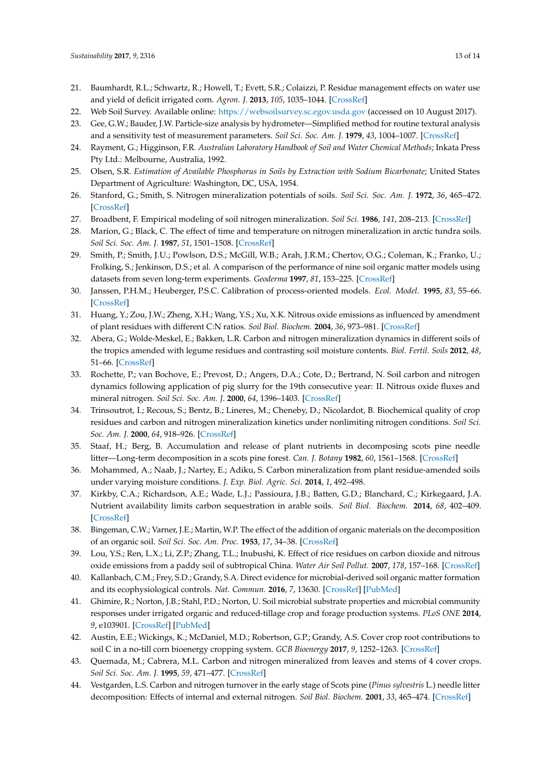- <span id="page-12-0"></span>21. Baumhardt, R.L.; Schwartz, R.; Howell, T.; Evett, S.R.; Colaizzi, P. Residue management effects on water use and yield of deficit irrigated corn. *Agron. J.* **2013**, *105*, 1035–1044. [\[CrossRef\]](http://dx.doi.org/10.2134/agronj2012.0362)
- <span id="page-12-1"></span>22. Web Soil Survey. Available online: <https://websoilsurvey.sc.egov.usda.gov> (accessed on 10 August 2017).
- <span id="page-12-2"></span>23. Gee, G.W.; Bauder, J.W. Particle-size analysis by hydrometer—Simplified method for routine textural analysis and a sensitivity test of measurement parameters. *Soil Sci. Soc. Am. J.* **1979**, *43*, 1004–1007. [\[CrossRef\]](http://dx.doi.org/10.2136/sssaj1979.03615995004300050038x)
- <span id="page-12-3"></span>24. Rayment, G.; Higginson, F.R. *Australian Laboratory Handbook of Soil and Water Chemical Methods*; Inkata Press Pty Ltd.: Melbourne, Australia, 1992.
- <span id="page-12-4"></span>25. Olsen, S.R. *Estimation of Available Phosphorus in Soils by Extraction with Sodium Bicarbonate*; United States Department of Agriculture: Washington, DC, USA, 1954.
- <span id="page-12-5"></span>26. Stanford, G.; Smith, S. Nitrogen mineralization potentials of soils. *Soil Sci. Soc. Am. J.* **1972**, *36*, 465–472. [\[CrossRef\]](http://dx.doi.org/10.2136/sssaj1972.03615995003600030029x)
- <span id="page-12-6"></span>27. Broadbent, F. Empirical modeling of soil nitrogen mineralization. *Soil Sci.* **1986**, *141*, 208–213. [\[CrossRef\]](http://dx.doi.org/10.1097/00010694-198603000-00005)
- <span id="page-12-7"></span>28. Marion, G.; Black, C. The effect of time and temperature on nitrogen mineralization in arctic tundra soils. *Soil Sci. Soc. Am. J.* **1987**, *51*, 1501–1508. [\[CrossRef\]](http://dx.doi.org/10.2136/sssaj1987.03615995005100060018x)
- <span id="page-12-8"></span>29. Smith, P.; Smith, J.U.; Powlson, D.S.; McGill, W.B.; Arah, J.R.M.; Chertov, O.G.; Coleman, K.; Franko, U.; Frolking, S.; Jenkinson, D.S.; et al. A comparison of the performance of nine soil organic matter models using datasets from seven long-term experiments. *Geoderma* **1997**, *81*, 153–225. [\[CrossRef\]](http://dx.doi.org/10.1016/S0016-7061(97)00087-6)
- <span id="page-12-9"></span>30. Janssen, P.H.M.; Heuberger, P.S.C. Calibration of process-oriented models. *Ecol. Model.* **1995**, *83*, 55–66. [\[CrossRef\]](http://dx.doi.org/10.1016/0304-3800(95)00084-9)
- <span id="page-12-10"></span>31. Huang, Y.; Zou, J.W.; Zheng, X.H.; Wang, Y.S.; Xu, X.K. Nitrous oxide emissions as influenced by amendment of plant residues with different C:N ratios. *Soil Biol. Biochem.* **2004**, *36*, 973–981. [\[CrossRef\]](http://dx.doi.org/10.1016/j.soilbio.2004.02.009)
- 32. Abera, G.; Wolde-Meskel, E.; Bakken, L.R. Carbon and nitrogen mineralization dynamics in different soils of the tropics amended with legume residues and contrasting soil moisture contents. *Biol. Fertil. Soils* **2012**, *48*, 51–66. [\[CrossRef\]](http://dx.doi.org/10.1007/s00374-011-0607-8)
- <span id="page-12-11"></span>33. Rochette, P.; van Bochove, E.; Prevost, D.; Angers, D.A.; Cote, D.; Bertrand, N. Soil carbon and nitrogen dynamics following application of pig slurry for the 19th consecutive year: II. Nitrous oxide fluxes and mineral nitrogen. *Soil Sci. Soc. Am. J.* **2000**, *64*, 1396–1403. [\[CrossRef\]](http://dx.doi.org/10.2136/sssaj2000.6441396x)
- <span id="page-12-12"></span>34. Trinsoutrot, I.; Recous, S.; Bentz, B.; Lineres, M.; Cheneby, D.; Nicolardot, B. Biochemical quality of crop residues and carbon and nitrogen mineralization kinetics under nonlimiting nitrogen conditions. *Soil Sci. Soc. Am. J.* **2000**, *64*, 918–926. [\[CrossRef\]](http://dx.doi.org/10.2136/sssaj2000.643918x)
- <span id="page-12-13"></span>35. Staaf, H.; Berg, B. Accumulation and release of plant nutrients in decomposing scots pine needle litter—Long-term decomposition in a scots pine forest. *Can. J. Botany* **1982**, *60*, 1561–1568. [\[CrossRef\]](http://dx.doi.org/10.1139/b82-199)
- <span id="page-12-14"></span>36. Mohammed, A.; Naab, J.; Nartey, E.; Adiku, S. Carbon mineralization from plant residue-amended soils under varying moisture conditions. *J. Exp. Biol. Agric. Sci.* **2014**, *1*, 492–498.
- <span id="page-12-15"></span>37. Kirkby, C.A.; Richardson, A.E.; Wade, L.J.; Passioura, J.B.; Batten, G.D.; Blanchard, C.; Kirkegaard, J.A. Nutrient availability limits carbon sequestration in arable soils. *Soil Biol. Biochem.* **2014**, *68*, 402–409. [\[CrossRef\]](http://dx.doi.org/10.1016/j.soilbio.2013.09.032)
- <span id="page-12-16"></span>38. Bingeman, C.W.; Varner, J.E.; Martin, W.P. The effect of the addition of organic materials on the decomposition of an organic soil. *Soil Sci. Soc. Am. Proc.* **1953**, *17*, 34–38. [\[CrossRef\]](http://dx.doi.org/10.2136/sssaj1953.03615995001700010008x)
- <span id="page-12-17"></span>39. Lou, Y.S.; Ren, L.X.; Li, Z.P.; Zhang, T.L.; Inubushi, K. Effect of rice residues on carbon dioxide and nitrous oxide emissions from a paddy soil of subtropical China. *Water Air Soil Pollut.* **2007**, *178*, 157–168. [\[CrossRef\]](http://dx.doi.org/10.1007/s11270-006-9187-x)
- <span id="page-12-18"></span>40. Kallanbach, C.M.; Frey, S.D.; Grandy, S.A. Direct evidence for microbial-derived soil organic matter formation and its ecophysiological controls. *Nat. Commun.* **2016**, *7*, 13630. [\[CrossRef\]](http://dx.doi.org/10.1038/ncomms13630) [\[PubMed\]](http://www.ncbi.nlm.nih.gov/pubmed/27892466)
- <span id="page-12-19"></span>41. Ghimire, R.; Norton, J.B.; Stahl, P.D.; Norton, U. Soil microbial substrate properties and microbial community responses under irrigated organic and reduced-tillage crop and forage production systems. *PLoS ONE* **2014**, *9*, e103901. [\[CrossRef\]](http://dx.doi.org/10.1371/journal.pone.0103901) [\[PubMed\]](http://www.ncbi.nlm.nih.gov/pubmed/25090235)
- <span id="page-12-20"></span>42. Austin, E.E.; Wickings, K.; McDaniel, M.D.; Robertson, G.P.; Grandy, A.S. Cover crop root contributions to soil C in a no-till corn bioenergy cropping system. *GCB Bioenergy* **2017**, *9*, 1252–1263. [\[CrossRef\]](http://dx.doi.org/10.1111/gcbb.12428)
- <span id="page-12-21"></span>43. Quemada, M.; Cabrera, M.L. Carbon and nitrogen mineralized from leaves and stems of 4 cover crops. *Soil Sci. Soc. Am. J.* **1995**, *59*, 471–477. [\[CrossRef\]](http://dx.doi.org/10.2136/sssaj1995.03615995005900020029x)
- <span id="page-12-22"></span>44. Vestgarden, L.S. Carbon and nitrogen turnover in the early stage of Scots pine (*Pinus sylvestris* L.) needle litter decomposition: Effects of internal and external nitrogen. *Soil Biol. Biochem.* **2001**, *33*, 465–474. [\[CrossRef\]](http://dx.doi.org/10.1016/S0038-0717(00)00187-5)